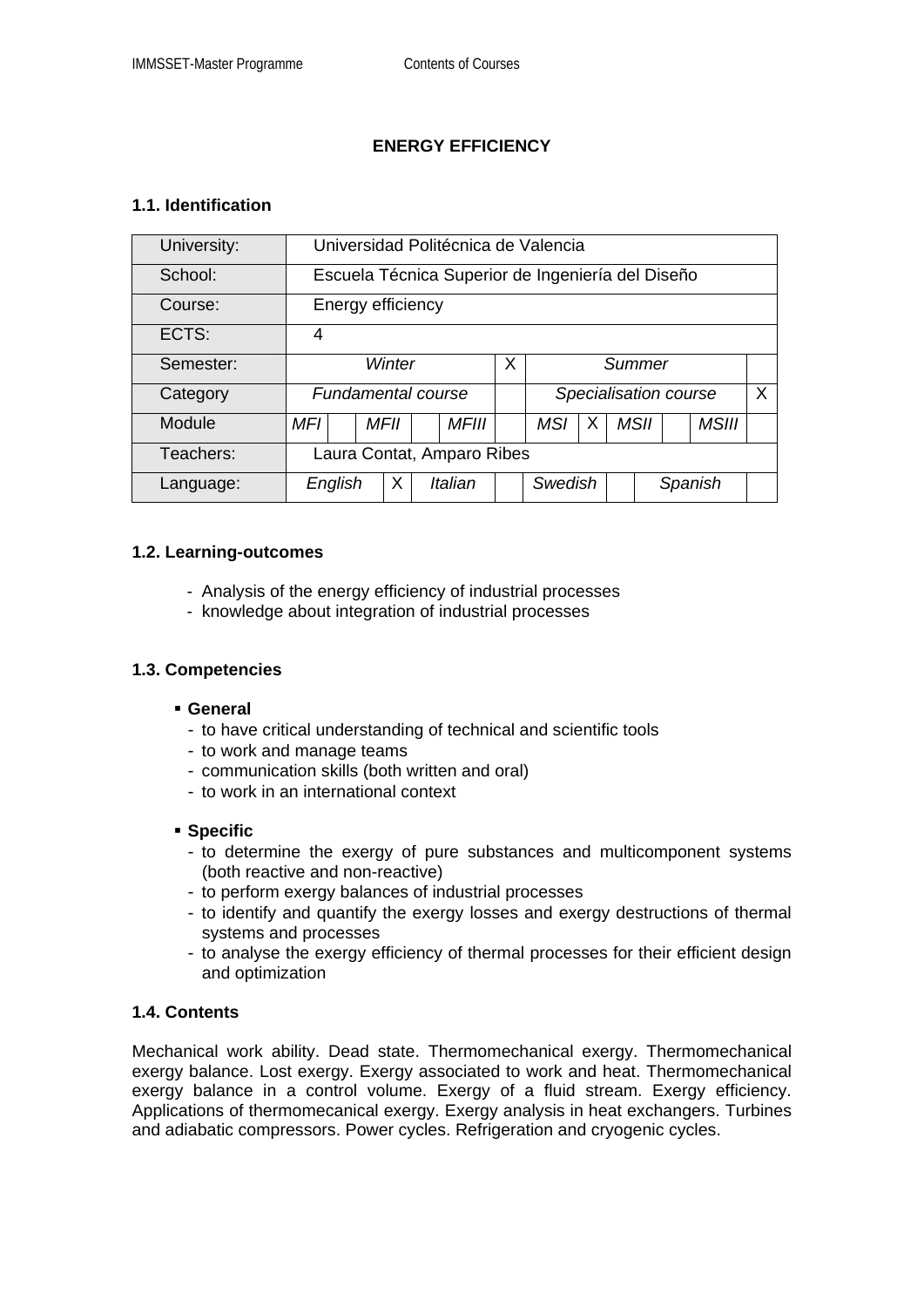# **ENERGY EFFICIENCY**

# **1.1. Identification**

| University: | Universidad Politécnica de Valencia               |      |  |              |  |                       |   |  |             |         |              |   |
|-------------|---------------------------------------------------|------|--|--------------|--|-----------------------|---|--|-------------|---------|--------------|---|
| School:     | Escuela Técnica Superior de Ingeniería del Diseño |      |  |              |  |                       |   |  |             |         |              |   |
| Course:     | Energy efficiency                                 |      |  |              |  |                       |   |  |             |         |              |   |
| ECTS:       | 4                                                 |      |  |              |  |                       |   |  |             |         |              |   |
| Semester:   | Winter                                            |      |  |              |  | Summer                |   |  |             |         |              |   |
| Category    | <b>Fundamental course</b>                         |      |  |              |  | Specialisation course |   |  |             |         |              | X |
| Module      | MFI                                               | MFII |  | <b>MFIII</b> |  | <b>MSI</b>            | x |  | <b>MSII</b> |         | <b>MSIII</b> |   |
| Teachers:   | Laura Contat, Amparo Ribes                        |      |  |              |  |                       |   |  |             |         |              |   |
| Language:   | English                                           | Χ    |  | Italian      |  | Swedish               |   |  |             | Spanish |              |   |

### **1.2. Learning-outcomes**

- Analysis of the energy efficiency of industrial processes
- knowledge about integration of industrial processes

# **1.3. Competencies**

#### **General**

- to have critical understanding of technical and scientific tools
- to work and manage teams
- communication skills (both written and oral)
- to work in an international context

#### **Specific**

- to determine the exergy of pure substances and multicomponent systems (both reactive and non-reactive)
- to perform exergy balances of industrial processes
- to identify and quantify the exergy losses and exergy destructions of thermal systems and processes
- to analyse the exergy efficiency of thermal processes for their efficient design and optimization

# **1.4. Contents**

Mechanical work ability. Dead state. Thermomechanical exergy. Thermomechanical exergy balance. Lost exergy. Exergy associated to work and heat. Thermomechanical exergy balance in a control volume. Exergy of a fluid stream. Exergy efficiency. Applications of thermomecanical exergy. Exergy analysis in heat exchangers. Turbines and adiabatic compressors. Power cycles. Refrigeration and cryogenic cycles.